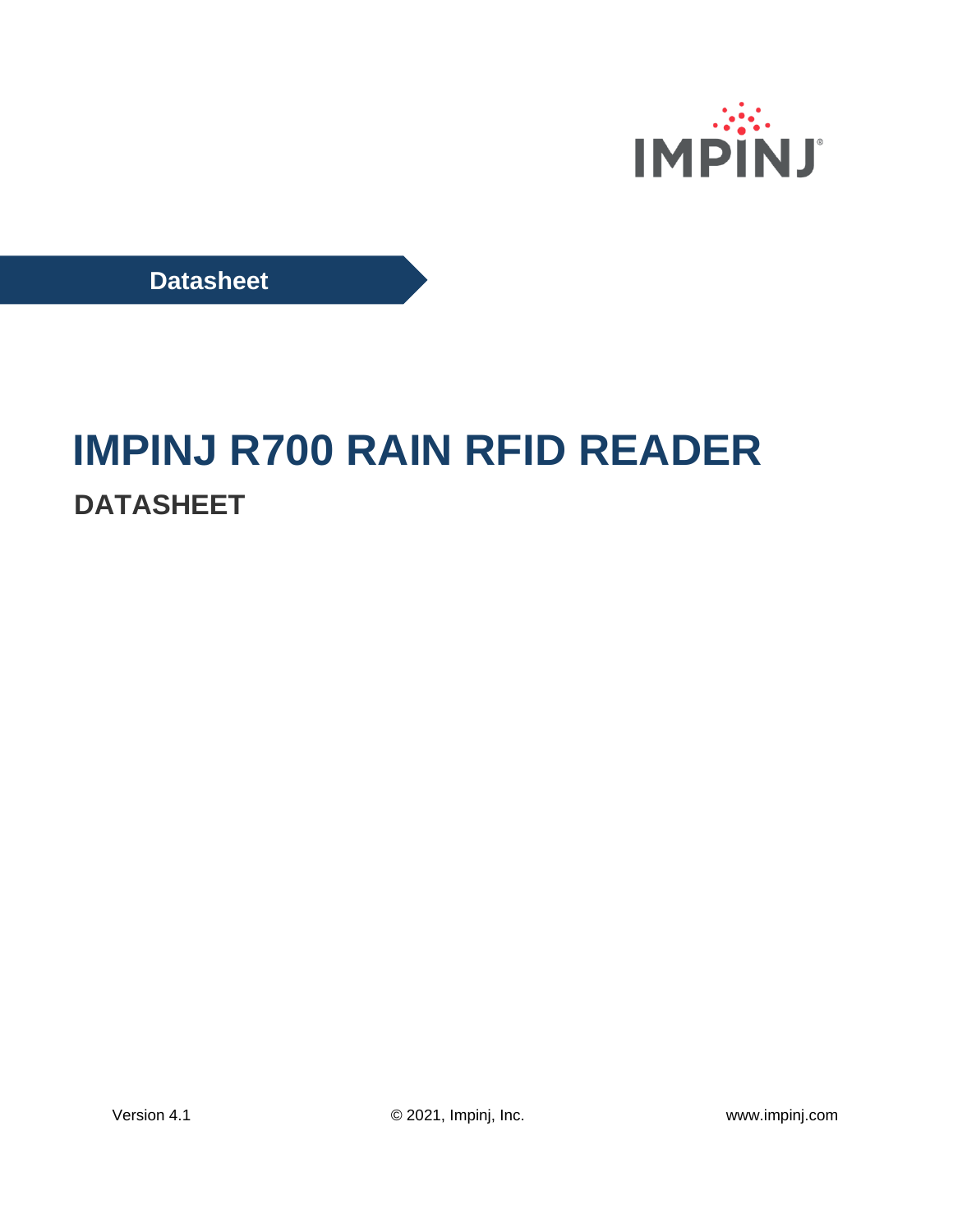

**Datasheet**

# **IMPINJ R700 RAIN RFID READER DATASHEET**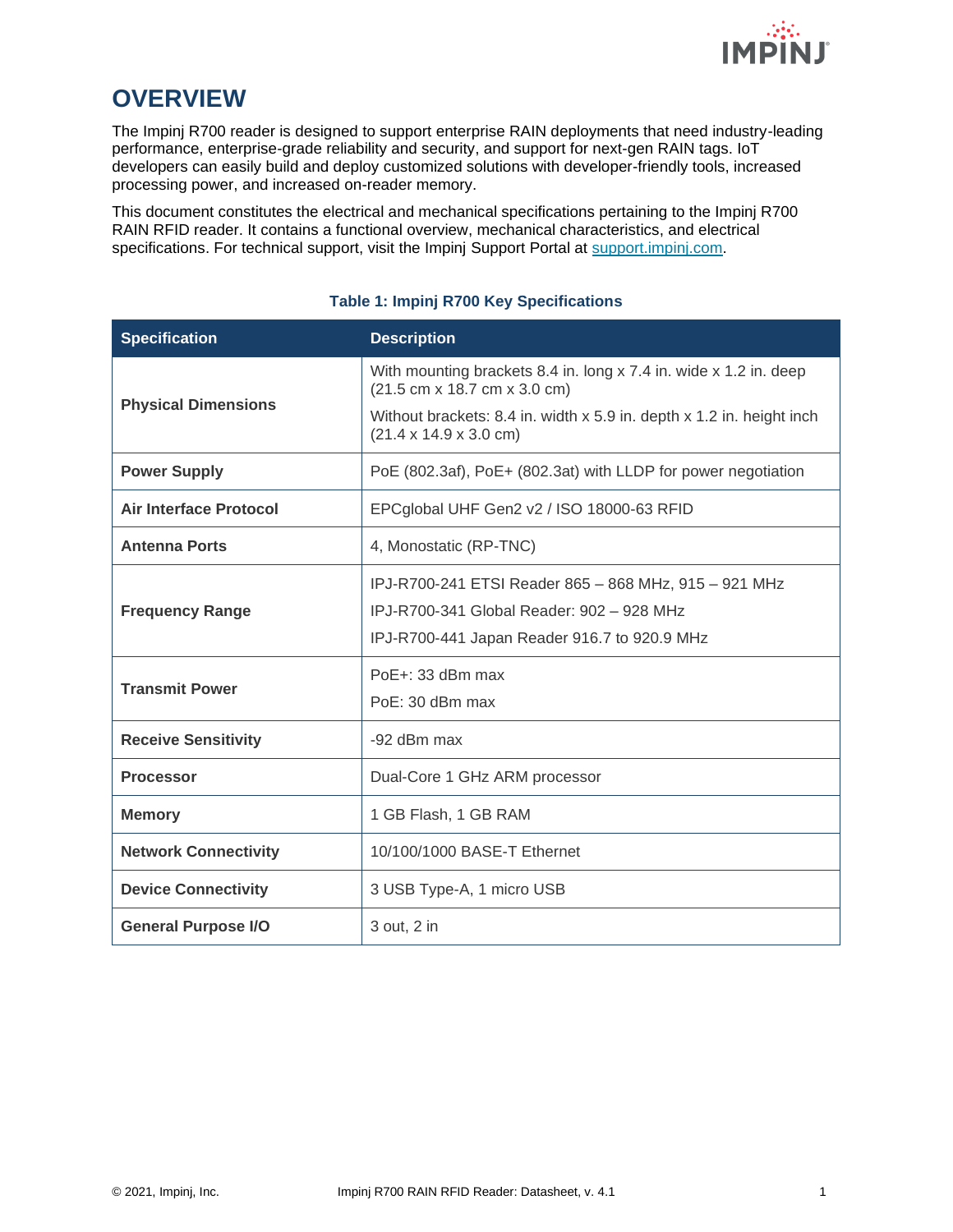

# **OVERVIEW**

The Impinj R700 reader is designed to support enterprise RAIN deployments that need industry-leading performance, enterprise-grade reliability and security, and support for next-gen RAIN tags. IoT developers can easily build and deploy customized solutions with developer-friendly tools, increased processing power, and increased on-reader memory.

This document constitutes the electrical and mechanical specifications pertaining to the Impinj R700 RAIN RFID reader. It contains a functional overview, mechanical characteristics, and electrical specifications. For technical support, visit the Impinj Support Portal at [support.impinj.com.](https://support.impinj.com/)

| <b>Specification</b>          | <b>Description</b>                                                                                                                                 |  |
|-------------------------------|----------------------------------------------------------------------------------------------------------------------------------------------------|--|
| <b>Physical Dimensions</b>    | With mounting brackets 8.4 in. long x 7.4 in. wide x 1.2 in. deep<br>(21.5 cm x 18.7 cm x 3.0 cm)                                                  |  |
|                               | Without brackets: 8.4 in. width x 5.9 in. depth x 1.2 in. height inch<br>$(21.4 \times 14.9 \times 3.0 \text{ cm})$                                |  |
| <b>Power Supply</b>           | PoE (802.3af), PoE+ (802.3at) with LLDP for power negotiation                                                                                      |  |
| <b>Air Interface Protocol</b> | EPCglobal UHF Gen2 v2 / ISO 18000-63 RFID                                                                                                          |  |
| <b>Antenna Ports</b>          | 4, Monostatic (RP-TNC)                                                                                                                             |  |
| <b>Frequency Range</b>        | IPJ-R700-241 ETSI Reader 865 - 868 MHz, 915 - 921 MHz<br>IPJ-R700-341 Global Reader: 902 - 928 MHz<br>IPJ-R700-441 Japan Reader 916.7 to 920.9 MHz |  |
| <b>Transmit Power</b>         | PoE+: 33 dBm max<br>PoE: 30 dBm max                                                                                                                |  |
| <b>Receive Sensitivity</b>    | -92 dBm max                                                                                                                                        |  |
| <b>Processor</b>              | Dual-Core 1 GHz ARM processor                                                                                                                      |  |
| <b>Memory</b>                 | 1 GB Flash, 1 GB RAM                                                                                                                               |  |
| <b>Network Connectivity</b>   | 10/100/1000 BASE-T Ethernet                                                                                                                        |  |
| <b>Device Connectivity</b>    | 3 USB Type-A, 1 micro USB                                                                                                                          |  |
| <b>General Purpose I/O</b>    | 3 out, 2 in                                                                                                                                        |  |

#### **Table 1: Impinj R700 Key Specifications**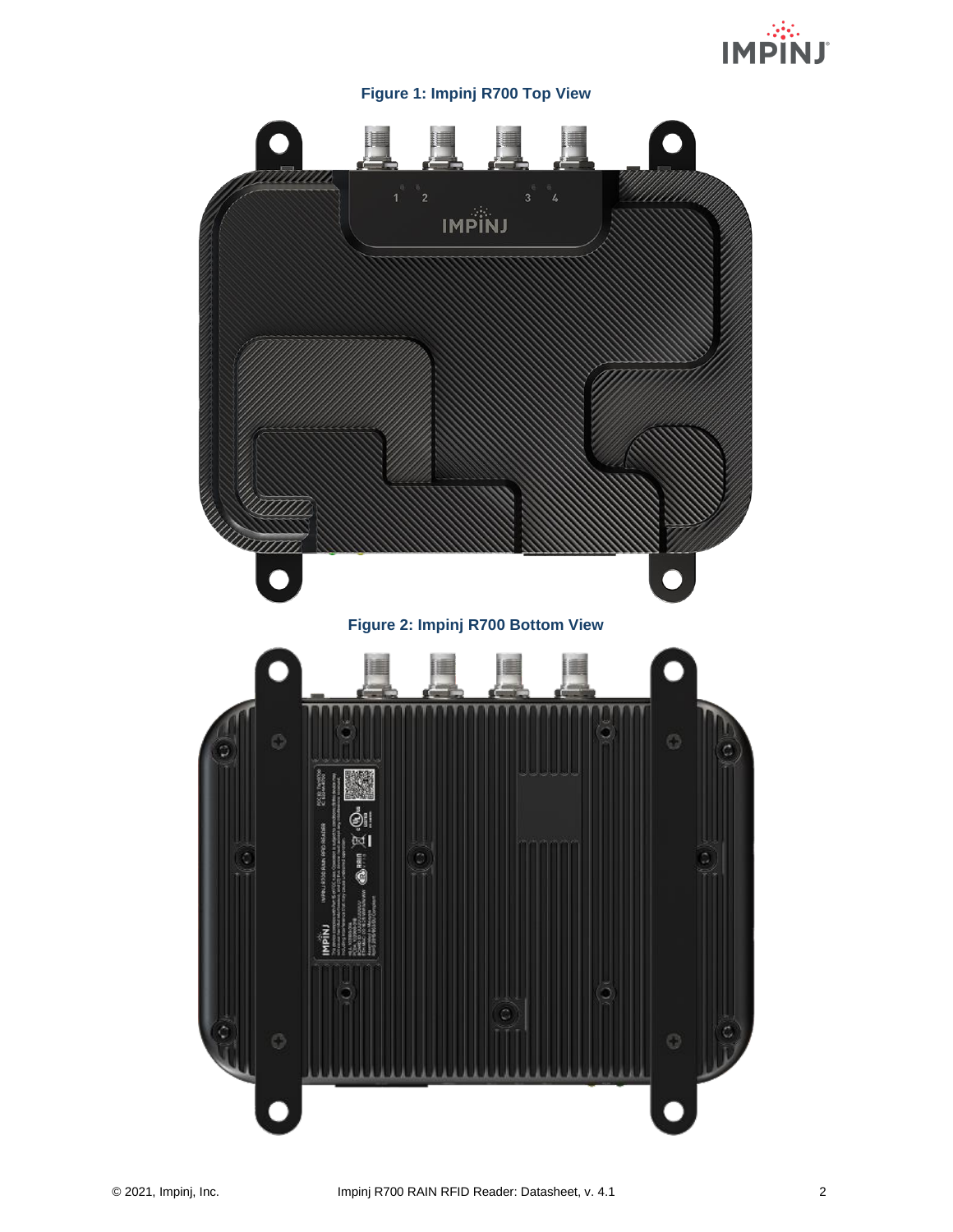

#### **Figure 1: Impinj R700 Top View**

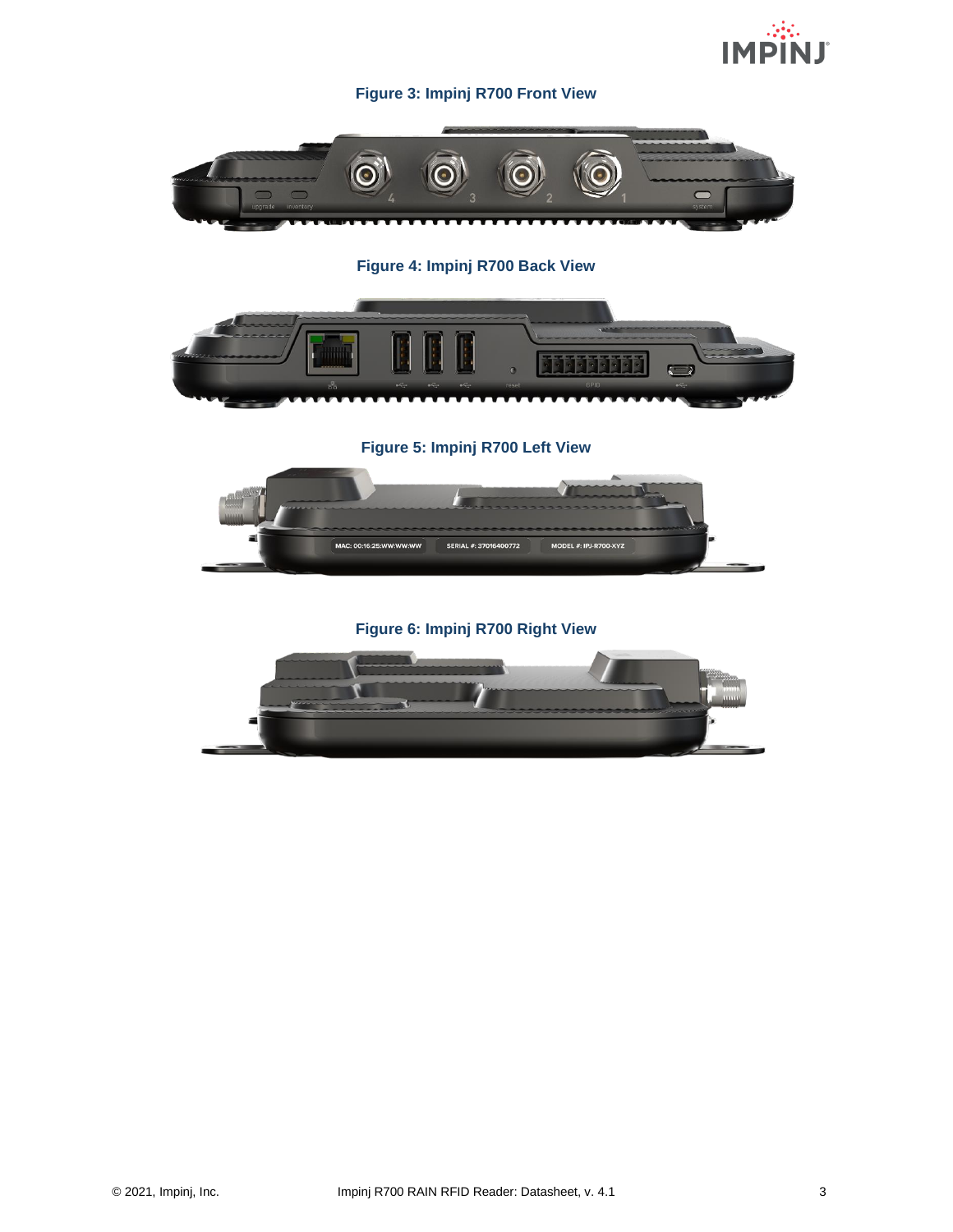

#### **Figure 3: Impinj R700 Front View**



**Figure 4: Impinj R700 Back View**



**Figure 5: Impinj R700 Left View**



**Figure 6: Impinj R700 Right View**

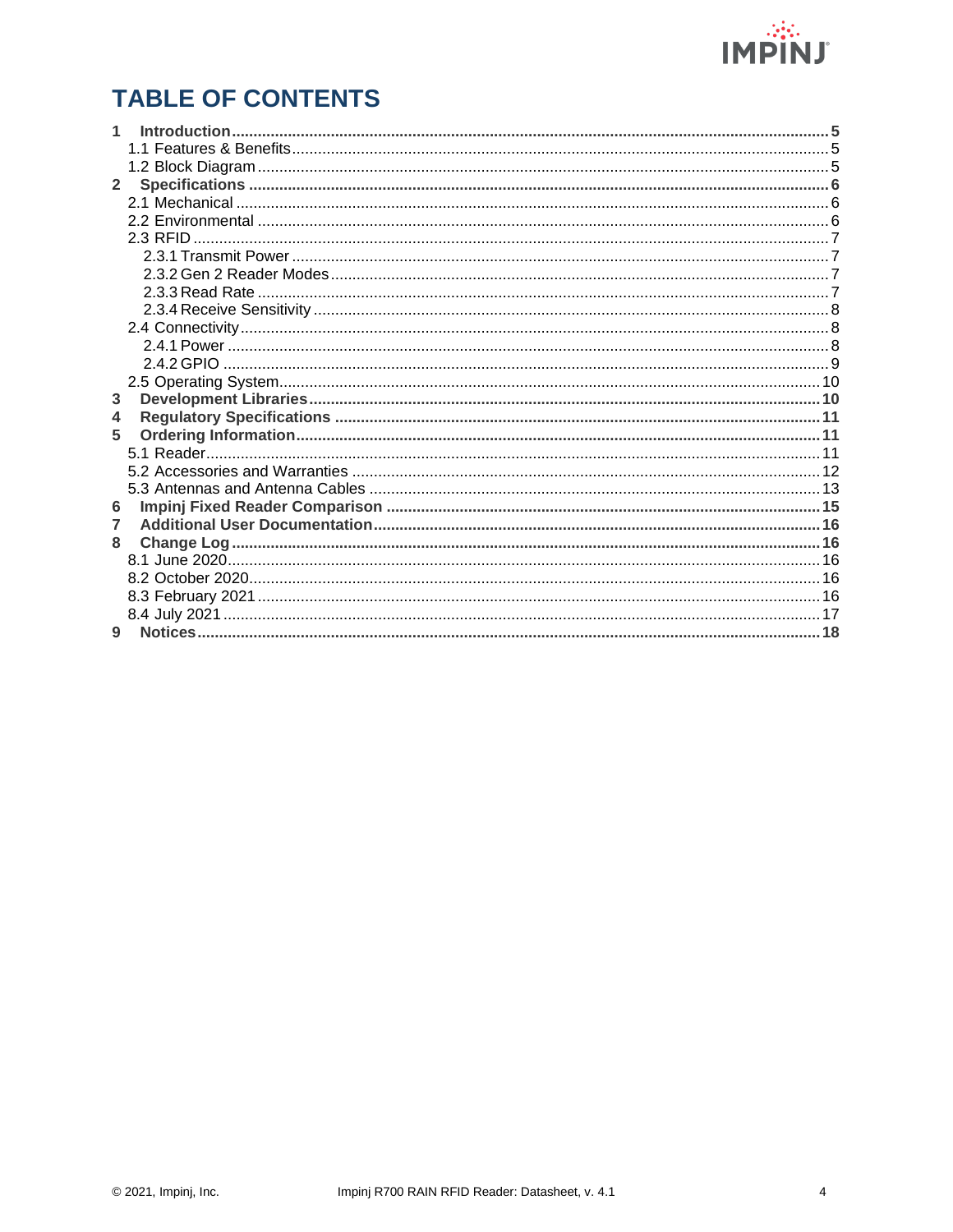

# **TABLE OF CONTENTS**

| 1<br>$\overline{2}$ |  |
|---------------------|--|
|                     |  |
|                     |  |
|                     |  |
|                     |  |
|                     |  |
|                     |  |
|                     |  |
|                     |  |
|                     |  |
|                     |  |
|                     |  |
|                     |  |
|                     |  |
|                     |  |
|                     |  |
| 3                   |  |
| 4                   |  |
| 5                   |  |
|                     |  |
|                     |  |
|                     |  |
| 6                   |  |
| 7                   |  |
| 8                   |  |
|                     |  |
|                     |  |
|                     |  |
|                     |  |
| 9                   |  |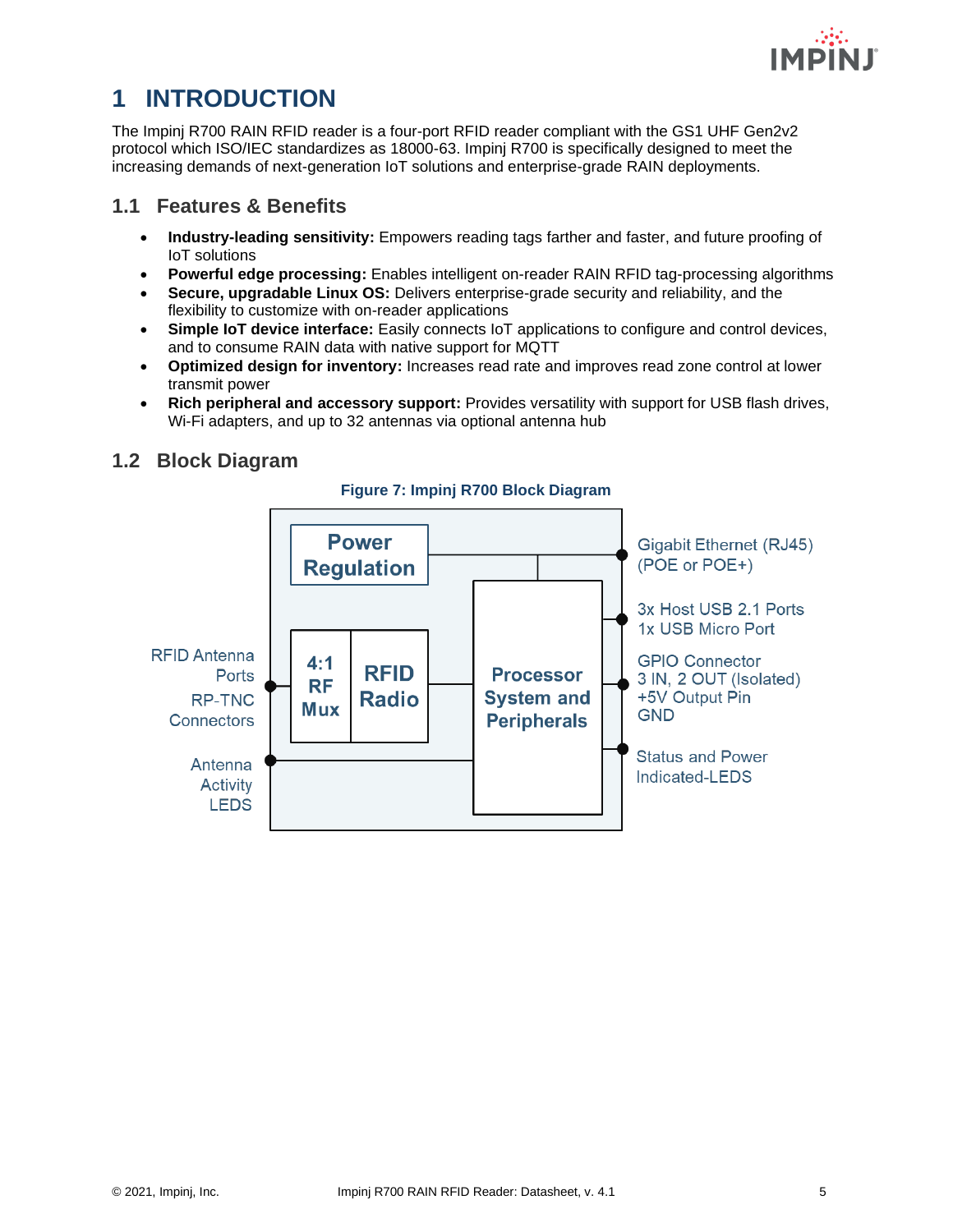

# <span id="page-5-0"></span>**1 INTRODUCTION**

The Impinj R700 RAIN RFID reader is a four-port RFID reader compliant with the GS1 UHF Gen2v2 protocol which ISO/IEC standardizes as 18000-63. Impinj R700 is specifically designed to meet the increasing demands of next-generation IoT solutions and enterprise-grade RAIN deployments.

### <span id="page-5-1"></span>**1.1 Features & Benefits**

- **Industry-leading sensitivity:** Empowers reading tags farther and faster, and future proofing of IoT solutions
- **Powerful edge processing:** Enables intelligent on-reader RAIN RFID tag-processing algorithms
- **Secure, upgradable Linux OS:** Delivers enterprise-grade security and reliability, and the flexibility to customize with on-reader applications
- **Simple IoT device interface:** Easily connects IoT applications to configure and control devices, and to consume RAIN data with native support for MQTT
- **Optimized design for inventory:** Increases read rate and improves read zone control at lower transmit power
- **Rich peripheral and accessory support:** Provides versatility with support for USB flash drives, Wi-Fi adapters, and up to 32 antennas via optional antenna hub

### <span id="page-5-2"></span>**1.2 Block Diagram**



#### **Figure 7: Impinj R700 Block Diagram**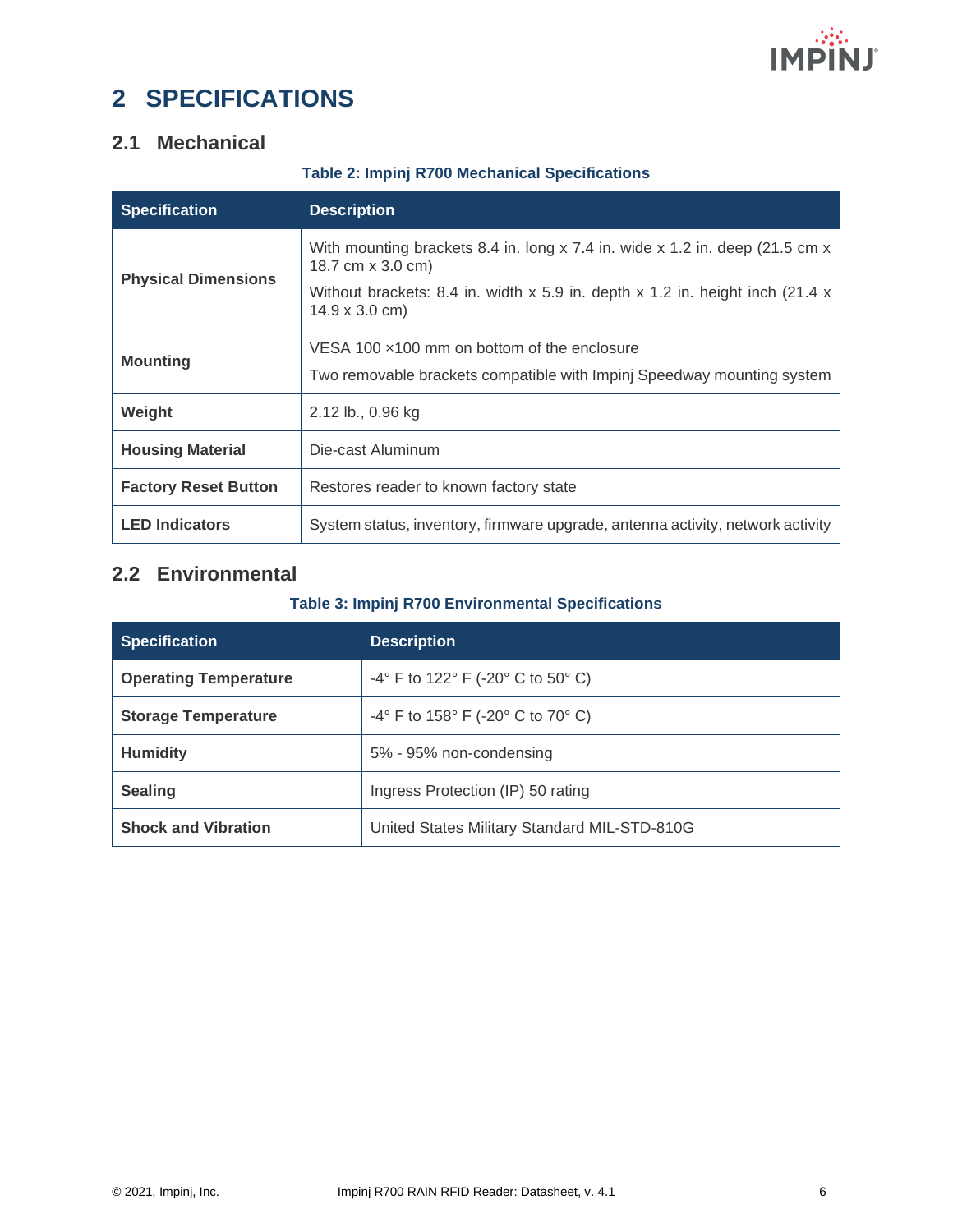

# <span id="page-6-0"></span>**2 SPECIFICATIONS**

### <span id="page-6-1"></span>**2.1 Mechanical**

|  |  |  |  | <b>Table 2: Impinj R700 Mechanical Specifications</b> |
|--|--|--|--|-------------------------------------------------------|
|--|--|--|--|-------------------------------------------------------|

| <b>Specification</b>        | <b>Description</b>                                                                                                                                                                                           |  |
|-----------------------------|--------------------------------------------------------------------------------------------------------------------------------------------------------------------------------------------------------------|--|
| <b>Physical Dimensions</b>  | With mounting brackets 8.4 in. long x 7.4 in. wide x 1.2 in. deep (21.5 cm x<br>18.7 cm x 3.0 cm)<br>Without brackets: 8.4 in. width $x$ 5.9 in. depth $x$ 1.2 in. height inch (21.4 $x$ )<br>14.9 x 3.0 cm) |  |
| <b>Mounting</b>             | VESA 100 $\times$ 100 mm on bottom of the enclosure<br>Two removable brackets compatible with Impinj Speedway mounting system                                                                                |  |
| Weight                      | 2.12 lb., 0.96 kg                                                                                                                                                                                            |  |
| <b>Housing Material</b>     | Die-cast Aluminum                                                                                                                                                                                            |  |
| <b>Factory Reset Button</b> | Restores reader to known factory state                                                                                                                                                                       |  |
| <b>LED Indicators</b>       | System status, inventory, firmware upgrade, antenna activity, network activity                                                                                                                               |  |

### <span id="page-6-2"></span>**2.2 Environmental**

#### **Table 3: Impinj R700 Environmental Specifications**

| <b>Specification</b>         | <b>Description</b>                                                       |
|------------------------------|--------------------------------------------------------------------------|
| <b>Operating Temperature</b> | $-4^{\circ}$ F to 122 $^{\circ}$ F ( $-20^{\circ}$ C to 50 $^{\circ}$ C) |
| <b>Storage Temperature</b>   | $-4^{\circ}$ F to 158 $^{\circ}$ F (-20 $^{\circ}$ C to 70 $^{\circ}$ C) |
| <b>Humidity</b>              | 5% - 95% non-condensing                                                  |
| <b>Sealing</b>               | Ingress Protection (IP) 50 rating                                        |
| <b>Shock and Vibration</b>   | United States Military Standard MIL-STD-810G                             |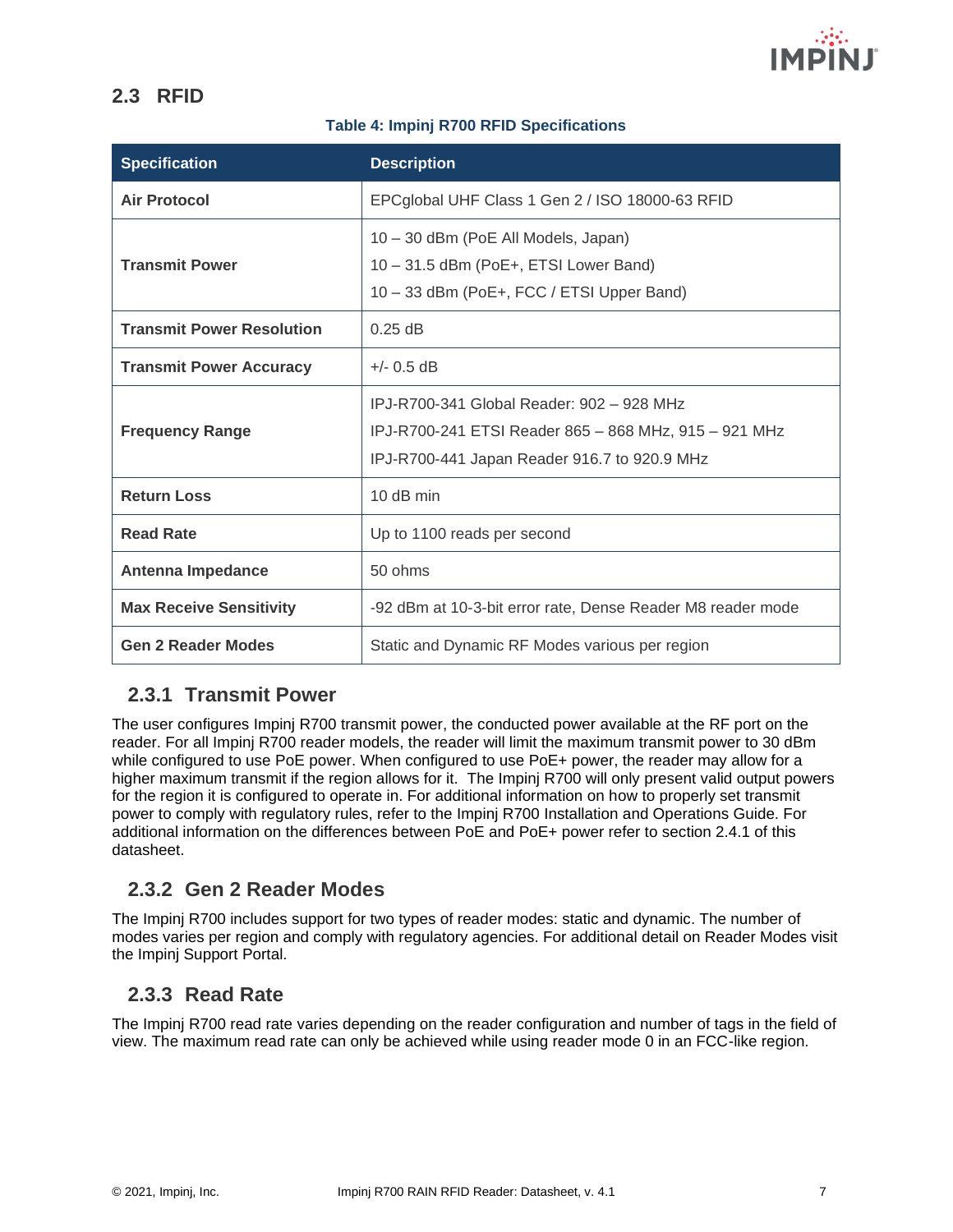

### <span id="page-7-0"></span>**2.3 RFID**

#### **Table 4: Impinj R700 RFID Specifications**

| <b>Specification</b>             | <b>Description</b>                                                                                                                                 |
|----------------------------------|----------------------------------------------------------------------------------------------------------------------------------------------------|
| <b>Air Protocol</b>              | EPCglobal UHF Class 1 Gen 2 / ISO 18000-63 RFID                                                                                                    |
| <b>Transmit Power</b>            | 10 - 30 dBm (PoE All Models, Japan)<br>10 - 31.5 dBm (PoE+, ETSI Lower Band)<br>10 - 33 dBm (PoE+, FCC / ETSI Upper Band)                          |
| <b>Transmit Power Resolution</b> | $0.25$ dB                                                                                                                                          |
| <b>Transmit Power Accuracy</b>   | $+/-$ 0.5 dB                                                                                                                                       |
| <b>Frequency Range</b>           | IPJ-R700-341 Global Reader: 902 - 928 MHz<br>IPJ-R700-241 ETSI Reader 865 - 868 MHz, 915 - 921 MHz<br>IPJ-R700-441 Japan Reader 916.7 to 920.9 MHz |
| <b>Return Loss</b>               | 10 dB min                                                                                                                                          |
| <b>Read Rate</b>                 | Up to 1100 reads per second                                                                                                                        |
| Antenna Impedance                | 50 ohms                                                                                                                                            |
| <b>Max Receive Sensitivity</b>   | -92 dBm at 10-3-bit error rate, Dense Reader M8 reader mode                                                                                        |
| <b>Gen 2 Reader Modes</b>        | Static and Dynamic RF Modes various per region                                                                                                     |

### <span id="page-7-1"></span>**2.3.1 Transmit Power**

The user configures Impinj R700 transmit power, the conducted power available at the RF port on the reader. For all Impinj R700 reader models, the reader will limit the maximum transmit power to 30 dBm while configured to use PoE power. When configured to use PoE+ power, the reader may allow for a higher maximum transmit if the region allows for it. The Impinj R700 will only present valid output powers for the region it is configured to operate in. For additional information on how to properly set transmit power to comply with regulatory rules, refer to the Impinj R700 Installation and Operations Guide. For additional information on the differences between PoE and PoE+ power refer to section 2.4.1 of this datasheet.

### <span id="page-7-2"></span>**2.3.2 Gen 2 Reader Modes**

The Impinj R700 includes support for two types of reader modes: static and dynamic. The number of modes varies per region and comply with regulatory agencies. For additional detail on Reader Modes visit the Impinj Support Portal.

### <span id="page-7-3"></span>**2.3.3 Read Rate**

The Impinj R700 read rate varies depending on the reader configuration and number of tags in the field of view. The maximum read rate can only be achieved while using reader mode 0 in an FCC-like region.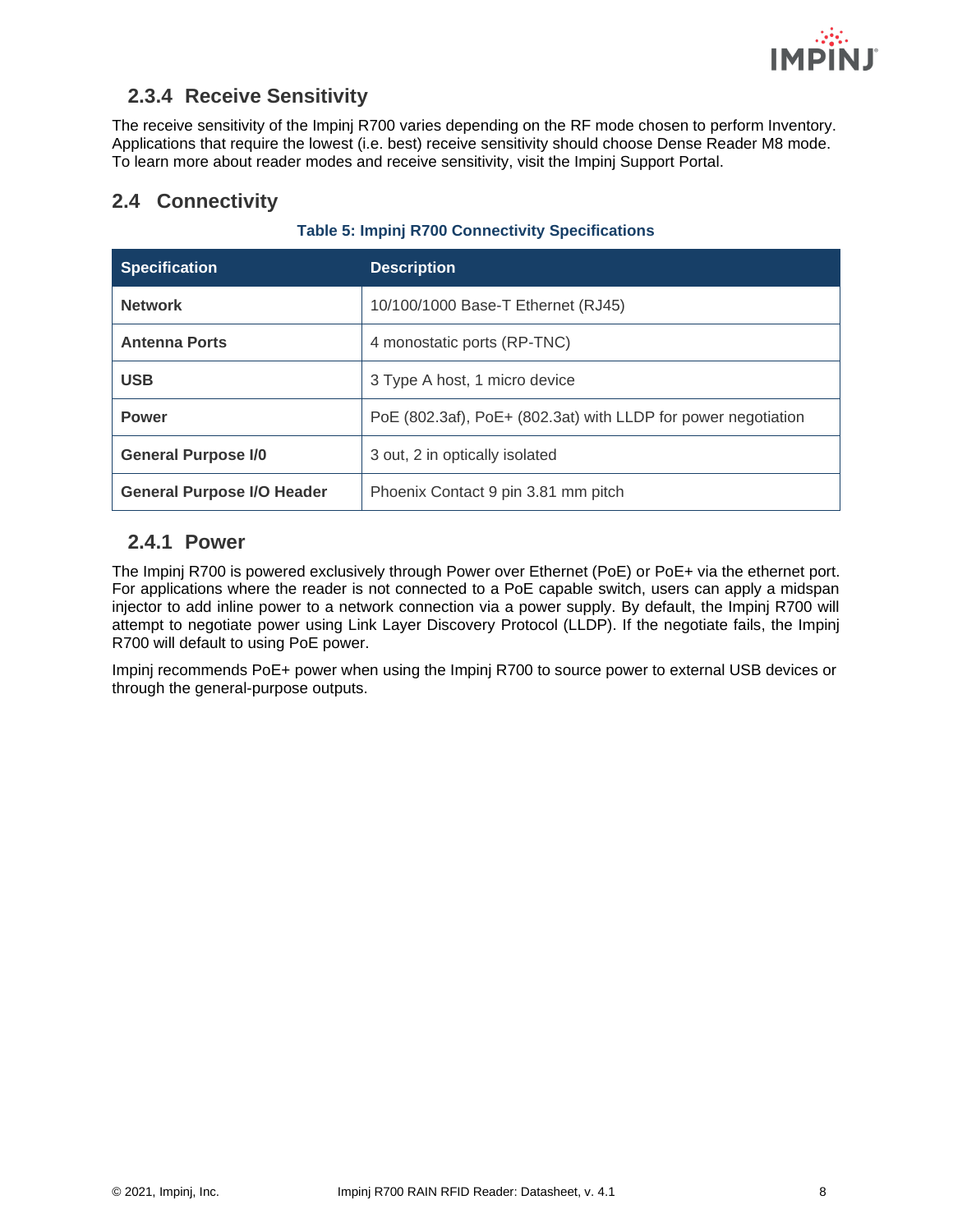

### <span id="page-8-0"></span>**2.3.4 Receive Sensitivity**

The receive sensitivity of the Impinj R700 varies depending on the RF mode chosen to perform Inventory. Applications that require the lowest (i.e. best) receive sensitivity should choose Dense Reader M8 mode. To learn more about reader modes and receive sensitivity, visit the Impinj Support Portal.

### <span id="page-8-1"></span>**2.4 Connectivity**

| <b>Table 5: Impinj R700 Connectivity Specifications</b> |  |  |
|---------------------------------------------------------|--|--|
|---------------------------------------------------------|--|--|

| <b>Specification</b>              | <b>Description</b>                                            |
|-----------------------------------|---------------------------------------------------------------|
| <b>Network</b>                    | 10/100/1000 Base-T Ethernet (RJ45)                            |
| <b>Antenna Ports</b>              | 4 monostatic ports (RP-TNC)                                   |
| <b>USB</b>                        | 3 Type A host, 1 micro device                                 |
| <b>Power</b>                      | PoE (802.3af), PoE+ (802.3at) with LLDP for power negotiation |
| <b>General Purpose I/0</b>        | 3 out, 2 in optically isolated                                |
| <b>General Purpose I/O Header</b> | Phoenix Contact 9 pin 3.81 mm pitch                           |

#### <span id="page-8-2"></span>**2.4.1 Power**

The Impinj R700 is powered exclusively through Power over Ethernet (PoE) or PoE+ via the ethernet port. For applications where the reader is not connected to a PoE capable switch, users can apply a midspan injector to add inline power to a network connection via a power supply. By default, the Impinj R700 will attempt to negotiate power using Link Layer Discovery Protocol (LLDP). If the negotiate fails, the Impinj R700 will default to using PoE power.

Impinj recommends PoE+ power when using the Impinj R700 to source power to external USB devices or through the general-purpose outputs.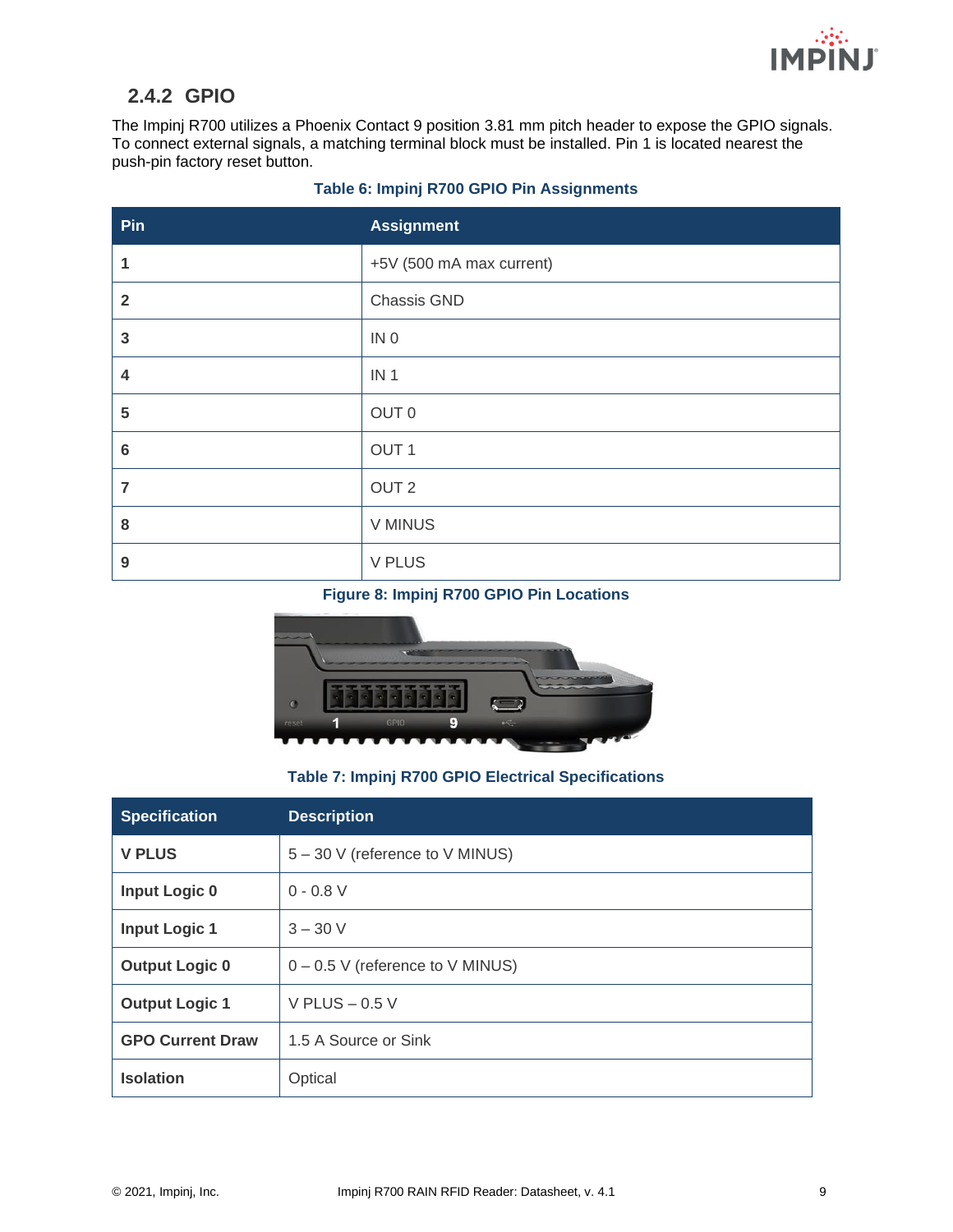

### <span id="page-9-0"></span>**2.4.2 GPIO**

The Impinj R700 utilizes a Phoenix Contact 9 position 3.81 mm pitch header to expose the GPIO signals. To connect external signals, a matching terminal block must be installed. Pin 1 is located nearest the push-pin factory reset button.

| Pin                     | <b>Assignment</b>        |
|-------------------------|--------------------------|
| 1                       | +5V (500 mA max current) |
| $\overline{2}$          | Chassis GND              |
| $\overline{\mathbf{3}}$ | IN <sub>0</sub>          |
| 4                       | IN <sub>1</sub>          |
| 5                       | OUT 0                    |
| $6\phantom{1}$          | OUT <sub>1</sub>         |
| $\overline{7}$          | OUT <sub>2</sub>         |
| 8                       | <b>V MINUS</b>           |
| $\boldsymbol{9}$        | <b>V PLUS</b>            |

#### **Table 6: Impinj R700 GPIO Pin Assignments**

#### **Figure 8: Impinj R700 GPIO Pin Locations**



#### **Table 7: Impinj R700 GPIO Electrical Specifications**

| <b>Specification</b>    | <b>Description</b>                 |  |
|-------------------------|------------------------------------|--|
| <b>V PLUS</b>           | 5 - 30 V (reference to V MINUS)    |  |
| <b>Input Logic 0</b>    | $0 - 0.8 V$                        |  |
| <b>Input Logic 1</b>    | $3 - 30 V$                         |  |
| <b>Output Logic 0</b>   | $0 - 0.5$ V (reference to V MINUS) |  |
| <b>Output Logic 1</b>   | V PLUS $-0.5$ V                    |  |
| <b>GPO Current Draw</b> | 1.5 A Source or Sink               |  |
| <b>Isolation</b>        | Optical                            |  |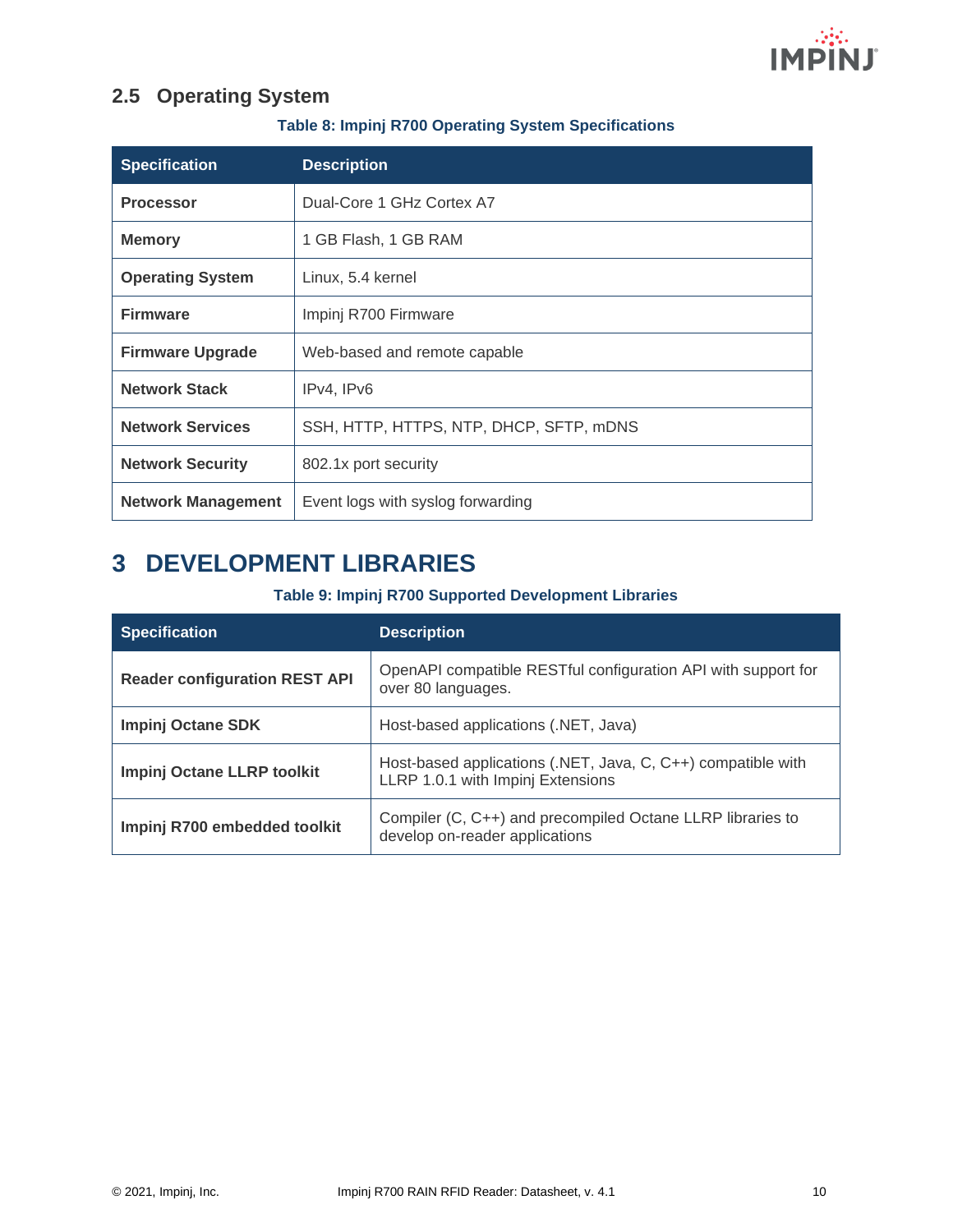

### <span id="page-10-0"></span>**2.5 Operating System**

#### **Table 8: Impinj R700 Operating System Specifications**

| <b>Specification</b>      | <b>Description</b>                      |
|---------------------------|-----------------------------------------|
| <b>Processor</b>          | Dual-Core 1 GHz Cortex A7               |
| <b>Memory</b>             | 1 GB Flash, 1 GB RAM                    |
| <b>Operating System</b>   | Linux, 5.4 kernel                       |
| <b>Firmware</b>           | Impinj R700 Firmware                    |
| <b>Firmware Upgrade</b>   | Web-based and remote capable            |
| <b>Network Stack</b>      | IPv4, IPv6                              |
| <b>Network Services</b>   | SSH, HTTP, HTTPS, NTP, DHCP, SFTP, mDNS |
| <b>Network Security</b>   | 802.1x port security                    |
| <b>Network Management</b> | Event logs with syslog forwarding       |

# <span id="page-10-1"></span>**3 DEVELOPMENT LIBRARIES**

#### **Table 9: Impinj R700 Supported Development Libraries**

| <b>Specification</b>                 | <b>Description</b>                                                                                |
|--------------------------------------|---------------------------------------------------------------------------------------------------|
| <b>Reader configuration REST API</b> | OpenAPI compatible RESTful configuration API with support for<br>over 80 languages.               |
| <b>Impinj Octane SDK</b>             | Host-based applications (.NET, Java)                                                              |
| Impinj Octane LLRP toolkit           | Host-based applications (.NET, Java, C, C++) compatible with<br>LLRP 1.0.1 with Impinj Extensions |
| Impinj R700 embedded toolkit         | Compiler (C, C++) and precompiled Octane LLRP libraries to<br>develop on-reader applications      |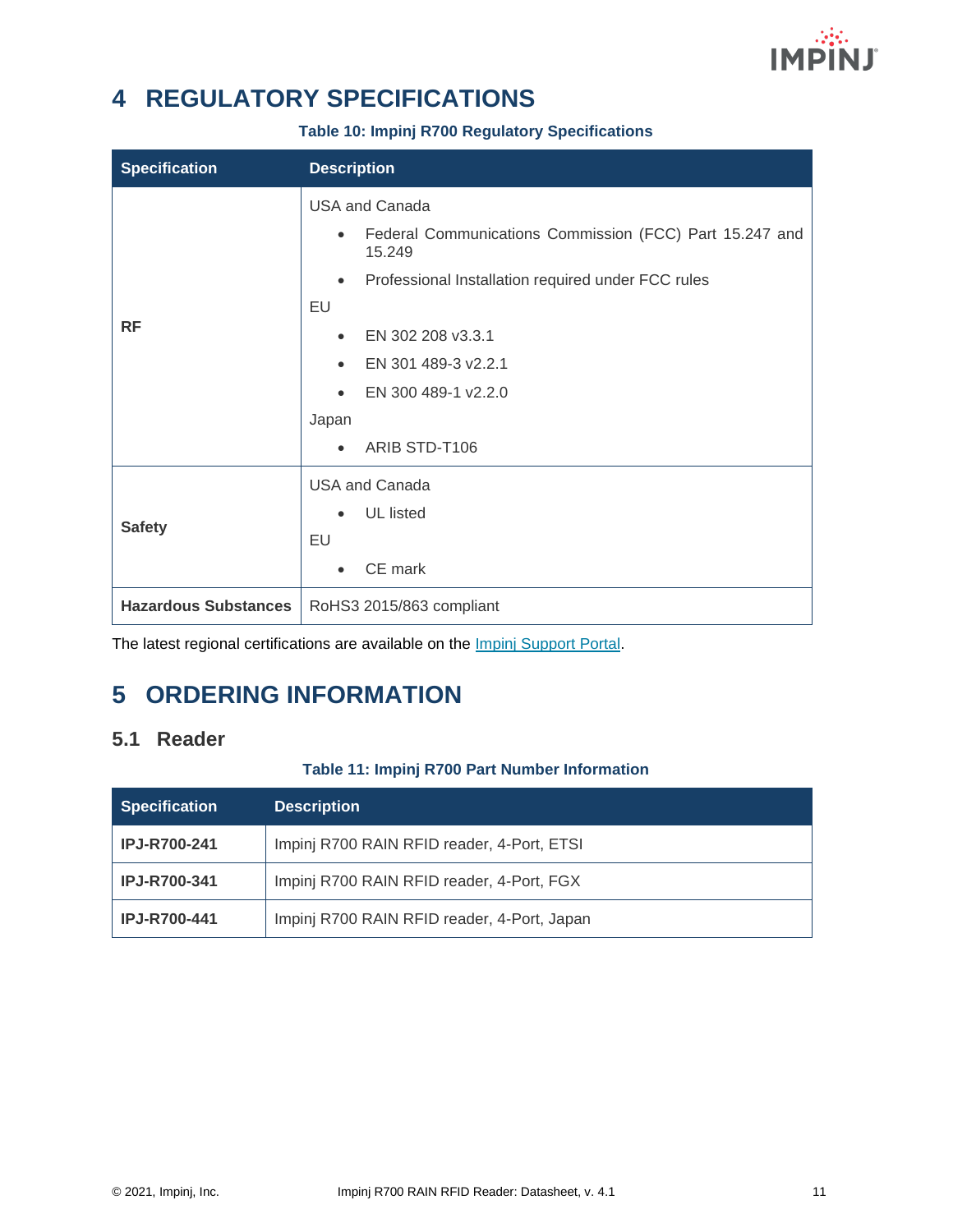

# <span id="page-11-0"></span>**4 REGULATORY SPECIFICATIONS**

#### **Table 10: Impinj R700 Regulatory Specifications**

| <b>Specification</b>        | <b>Description</b>                                                             |  |
|-----------------------------|--------------------------------------------------------------------------------|--|
|                             | <b>USA and Canada</b>                                                          |  |
|                             | Federal Communications Commission (FCC) Part 15.247 and<br>$\bullet$<br>15.249 |  |
|                             | Professional Installation required under FCC rules<br>$\bullet$                |  |
|                             | EU                                                                             |  |
| <b>RF</b>                   | EN 302 208 v3.3.1<br>$\bullet$                                                 |  |
|                             | EN 301 489-3 v2.2.1<br>$\bullet$                                               |  |
|                             | EN 300 489-1 v2.2.0<br>$\bullet$                                               |  |
|                             | Japan                                                                          |  |
|                             | ARIB STD-T106<br>$\bullet$                                                     |  |
|                             | <b>USA and Canada</b>                                                          |  |
| <b>Safety</b>               | <b>UL</b> listed                                                               |  |
|                             | EU                                                                             |  |
|                             | CE mark<br>$\bullet$                                                           |  |
| <b>Hazardous Substances</b> | RoHS3 2015/863 compliant                                                       |  |

The latest regional certifications are available on the *Impinj Support Portal*.

# <span id="page-11-1"></span>**5 ORDERING INFORMATION**

### <span id="page-11-2"></span>**5.1 Reader**

#### **Table 11: Impinj R700 Part Number Information**

| <b>Specification</b> | <b>Description</b>                          |
|----------------------|---------------------------------------------|
| <b>IPJ-R700-241</b>  | Impinj R700 RAIN RFID reader, 4-Port, ETSI  |
| <b>IPJ-R700-341</b>  | Impinj R700 RAIN RFID reader, 4-Port, FGX   |
| <b>IPJ-R700-441</b>  | Impinj R700 RAIN RFID reader, 4-Port, Japan |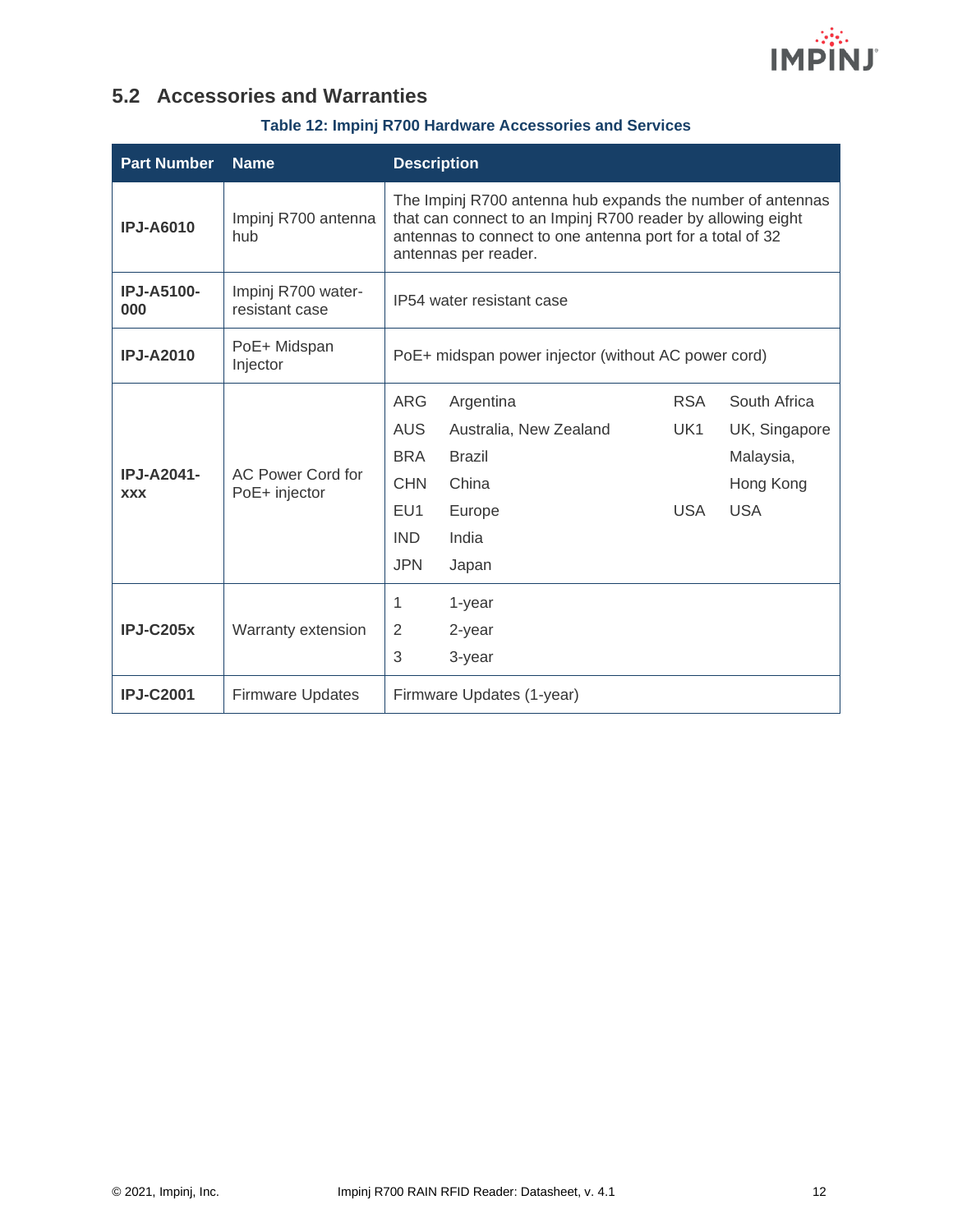

### <span id="page-12-0"></span>**5.2 Accessories and Warranties**

#### **Table 12: Impinj R700 Hardware Accessories and Services**

| <b>Part Number</b>              | <b>Name</b>                          | <b>Description</b>                                                                                                                                                                                                                                                                               |  |  |
|---------------------------------|--------------------------------------|--------------------------------------------------------------------------------------------------------------------------------------------------------------------------------------------------------------------------------------------------------------------------------------------------|--|--|
| <b>IPJ-A6010</b>                | Impinj R700 antenna<br>hub           | The Impinj R700 antenna hub expands the number of antennas<br>that can connect to an Impinj R700 reader by allowing eight<br>antennas to connect to one antenna port for a total of 32<br>antennas per reader.                                                                                   |  |  |
| <b>IPJ-A5100-</b><br>000        | Impinj R700 water-<br>resistant case | IP54 water resistant case                                                                                                                                                                                                                                                                        |  |  |
| <b>IPJ-A2010</b>                | PoE+ Midspan<br>Injector             | PoE+ midspan power injector (without AC power cord)                                                                                                                                                                                                                                              |  |  |
| <b>IPJ-A2041-</b><br><b>XXX</b> | AC Power Cord for<br>PoE+ injector   | <b>ARG</b><br><b>RSA</b><br>South Africa<br>Argentina<br><b>AUS</b><br>Australia, New Zealand<br>UK1<br>UK, Singapore<br><b>BRA</b><br><b>Brazil</b><br>Malaysia,<br><b>CHN</b><br>China<br>Hong Kong<br>EU1<br><b>USA</b><br><b>USA</b><br>Europe<br>India<br><b>IND</b><br><b>JPN</b><br>Japan |  |  |
| $IPJ-C205x$                     | Warranty extension                   | 1<br>1-year<br>2<br>2-year<br>3<br>3-year                                                                                                                                                                                                                                                        |  |  |
| <b>IPJ-C2001</b>                | <b>Firmware Updates</b>              | Firmware Updates (1-year)                                                                                                                                                                                                                                                                        |  |  |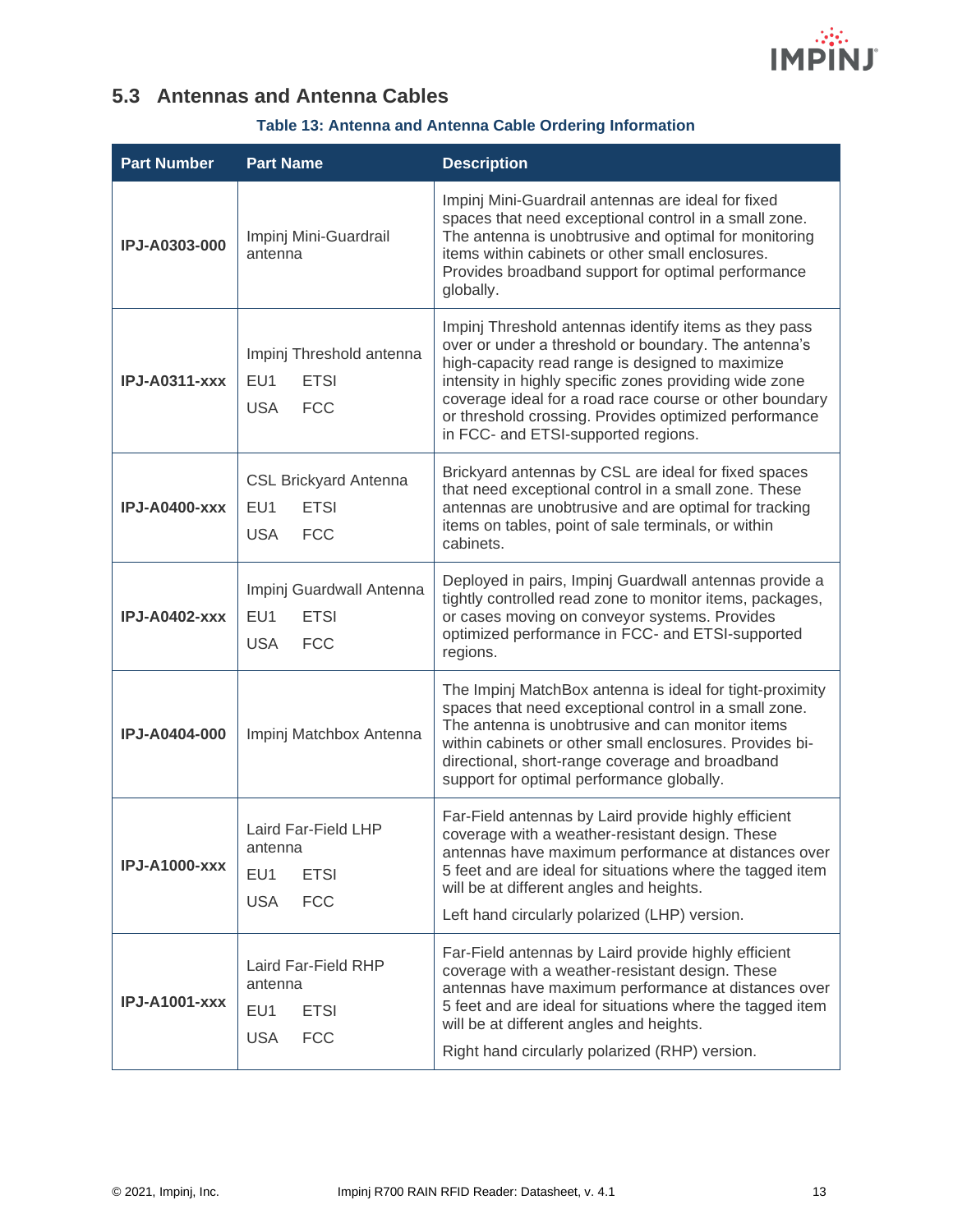

### <span id="page-13-0"></span>**5.3 Antennas and Antenna Cables**

### **Table 13: Antenna and Antenna Cable Ordering Information**

| <b>Part Number</b>   | <b>Part Name</b>                                                                 | <b>Description</b>                                                                                                                                                                                                                                                                                                                                                                     |
|----------------------|----------------------------------------------------------------------------------|----------------------------------------------------------------------------------------------------------------------------------------------------------------------------------------------------------------------------------------------------------------------------------------------------------------------------------------------------------------------------------------|
| IPJ-A0303-000        | Impinj Mini-Guardrail<br>antenna                                                 | Impinj Mini-Guardrail antennas are ideal for fixed<br>spaces that need exceptional control in a small zone.<br>The antenna is unobtrusive and optimal for monitoring<br>items within cabinets or other small enclosures.<br>Provides broadband support for optimal performance<br>globally.                                                                                            |
| <b>IPJ-A0311-xxx</b> | Impinj Threshold antenna<br>EU1<br><b>ETSI</b><br><b>FCC</b><br><b>USA</b>       | Impinj Threshold antennas identify items as they pass<br>over or under a threshold or boundary. The antenna's<br>high-capacity read range is designed to maximize<br>intensity in highly specific zones providing wide zone<br>coverage ideal for a road race course or other boundary<br>or threshold crossing. Provides optimized performance<br>in FCC- and ETSI-supported regions. |
| <b>IPJ-A0400-xxx</b> | <b>CSL Brickyard Antenna</b><br>EU1<br><b>ETSI</b><br><b>USA</b><br><b>FCC</b>   | Brickyard antennas by CSL are ideal for fixed spaces<br>that need exceptional control in a small zone. These<br>antennas are unobtrusive and are optimal for tracking<br>items on tables, point of sale terminals, or within<br>cabinets.                                                                                                                                              |
| <b>IPJ-A0402-xxx</b> | Impinj Guardwall Antenna<br>EU1<br><b>ETSI</b><br><b>USA</b><br><b>FCC</b>       | Deployed in pairs, Impinj Guardwall antennas provide a<br>tightly controlled read zone to monitor items, packages,<br>or cases moving on conveyor systems. Provides<br>optimized performance in FCC- and ETSI-supported<br>regions.                                                                                                                                                    |
| <b>IPJ-A0404-000</b> | Impinj Matchbox Antenna                                                          | The Impinj MatchBox antenna is ideal for tight-proximity<br>spaces that need exceptional control in a small zone.<br>The antenna is unobtrusive and can monitor items<br>within cabinets or other small enclosures. Provides bi-<br>directional, short-range coverage and broadband<br>support for optimal performance globally.                                                       |
| <b>IPJ-A1000-xxx</b> | Laird Far-Field LHP<br>antenna<br>EU1<br><b>ETSI</b><br><b>FCC</b><br><b>USA</b> | Far-Field antennas by Laird provide highly efficient<br>coverage with a weather-resistant design. These<br>antennas have maximum performance at distances over<br>5 feet and are ideal for situations where the tagged item<br>will be at different angles and heights.<br>Left hand circularly polarized (LHP) version.                                                               |
| <b>IPJ-A1001-xxx</b> | Laird Far-Field RHP<br>antenna<br>EU1<br><b>ETSI</b><br><b>USA</b><br><b>FCC</b> | Far-Field antennas by Laird provide highly efficient<br>coverage with a weather-resistant design. These<br>antennas have maximum performance at distances over<br>5 feet and are ideal for situations where the tagged item<br>will be at different angles and heights.<br>Right hand circularly polarized (RHP) version.                                                              |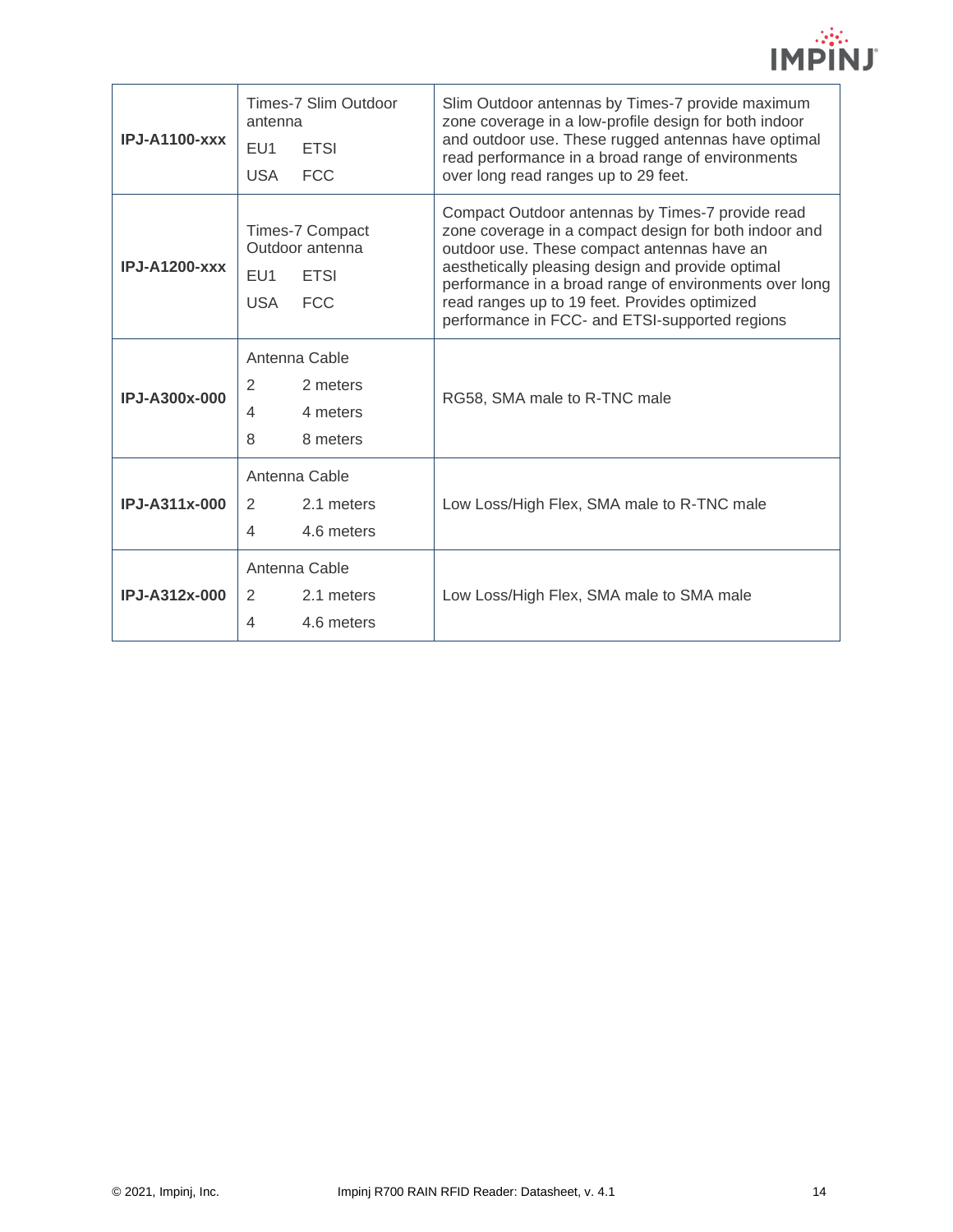| $IPJ-A1100-xxx$ | Times-7 Slim Outdoor<br>antenna<br>EU1<br><b>ETSI</b><br><b>FCC</b><br><b>USA</b>                | Slim Outdoor antennas by Times-7 provide maximum<br>zone coverage in a low-profile design for both indoor<br>and outdoor use. These rugged antennas have optimal<br>read performance in a broad range of environments<br>over long read ranges up to 29 feet.                                                                                                              |
|-----------------|--------------------------------------------------------------------------------------------------|----------------------------------------------------------------------------------------------------------------------------------------------------------------------------------------------------------------------------------------------------------------------------------------------------------------------------------------------------------------------------|
| $IPJ-A1200-xxx$ | Times-7 Compact<br>Outdoor antenna<br><b>ETSI</b><br>EU <sub>1</sub><br><b>FCC</b><br><b>USA</b> | Compact Outdoor antennas by Times-7 provide read<br>zone coverage in a compact design for both indoor and<br>outdoor use. These compact antennas have an<br>aesthetically pleasing design and provide optimal<br>performance in a broad range of environments over long<br>read ranges up to 19 feet. Provides optimized<br>performance in FCC- and ETSI-supported regions |
| IPJ-A300x-000   | Antenna Cable<br>2<br>2 meters<br>4 meters<br>4<br>8 meters<br>8                                 | RG58, SMA male to R-TNC male                                                                                                                                                                                                                                                                                                                                               |
| IPJ-A311x-000   | Antenna Cable<br>2.1 meters<br>2<br>4.6 meters<br>4                                              | Low Loss/High Flex, SMA male to R-TNC male                                                                                                                                                                                                                                                                                                                                 |
| IPJ-A312x-000   | Antenna Cable<br>2<br>2.1 meters<br>4<br>4.6 meters                                              | Low Loss/High Flex, SMA male to SMA male                                                                                                                                                                                                                                                                                                                                   |

 $\mathcal{L}(\mathcal{C})$ **IMPINJ**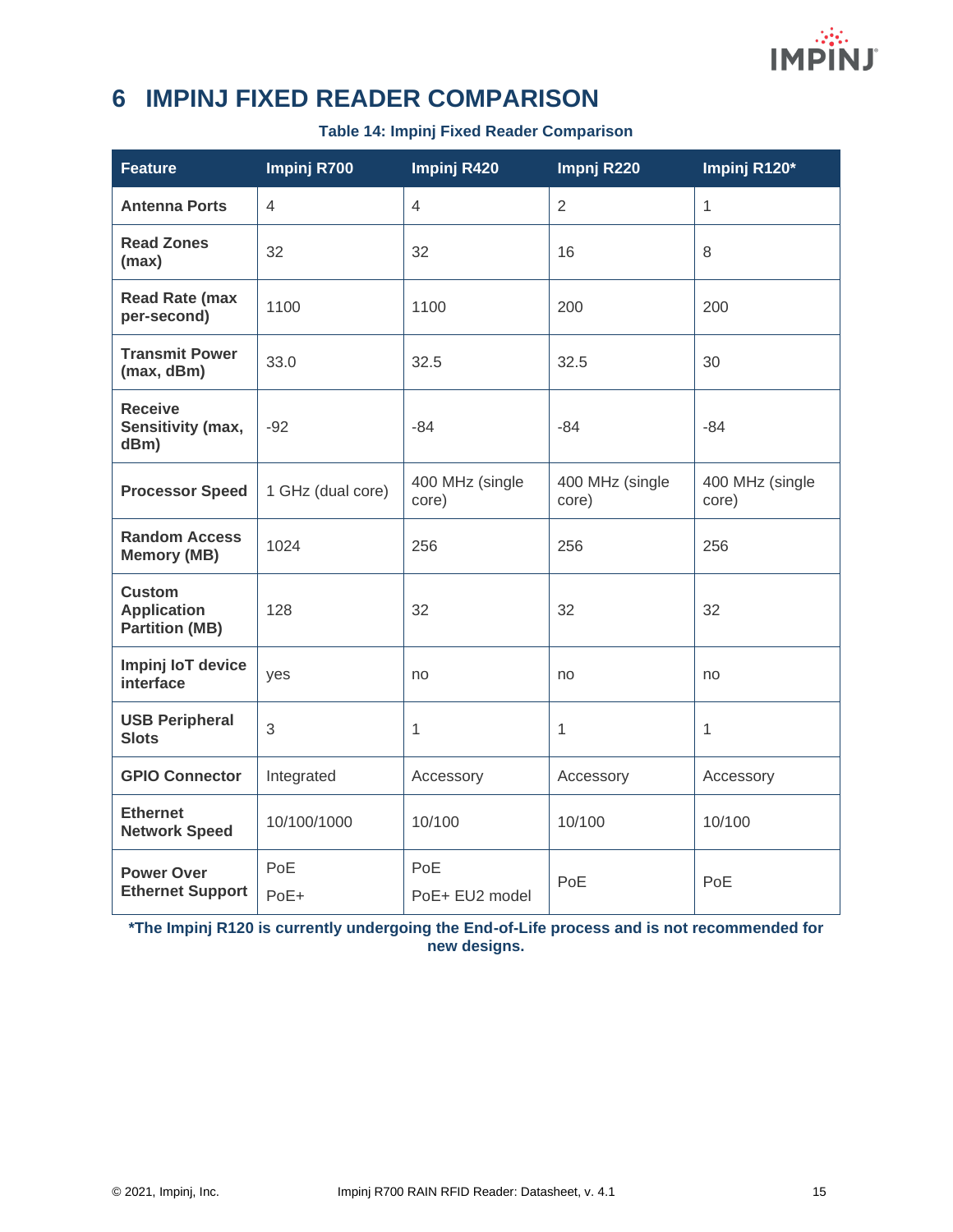

# <span id="page-15-0"></span>**6 IMPINJ FIXED READER COMPARISON**

**Table 14: Impinj Fixed Reader Comparison**

| <b>Feature</b>                                               | Impinj R700       | Impinj R420              | Impnj R220               | Impinj R120*             |
|--------------------------------------------------------------|-------------------|--------------------------|--------------------------|--------------------------|
| <b>Antenna Ports</b>                                         | $\overline{4}$    | $\overline{4}$           | $\overline{2}$           | $\mathbf{1}$             |
| <b>Read Zones</b><br>(max)                                   | 32                | 32                       | 16                       | 8                        |
| <b>Read Rate (max</b><br>per-second)                         | 1100              | 1100                     | 200                      | 200                      |
| <b>Transmit Power</b><br>(max, dBm)                          | 33.0              | 32.5                     | 32.5                     | 30                       |
| <b>Receive</b><br>Sensitivity (max,<br>dBm)                  | $-92$             | -84                      | $-84$                    | $-84$                    |
| <b>Processor Speed</b>                                       | 1 GHz (dual core) | 400 MHz (single<br>core) | 400 MHz (single<br>core) | 400 MHz (single<br>core) |
| <b>Random Access</b><br><b>Memory (MB)</b>                   | 1024              | 256                      | 256                      | 256                      |
| <b>Custom</b><br><b>Application</b><br><b>Partition (MB)</b> | 128               | 32                       | 32                       | 32                       |
| Impinj loT device<br>interface                               | yes               | no                       | no                       | no                       |
| <b>USB Peripheral</b><br><b>Slots</b>                        | 3                 | 1                        | 1                        | 1                        |
| <b>GPIO Connector</b>                                        | Integrated        | Accessory                | Accessory                | Accessory                |
| <b>Ethernet</b><br><b>Network Speed</b>                      | 10/100/1000       | 10/100                   | 10/100                   | 10/100                   |
| <b>Power Over</b><br><b>Ethernet Support</b>                 | PoE<br>PoE+       | PoE<br>PoE+ EU2 model    | PoE                      | PoE                      |

**\*The Impinj R120 is currently undergoing the End-of-Life process and is not recommended for new designs.**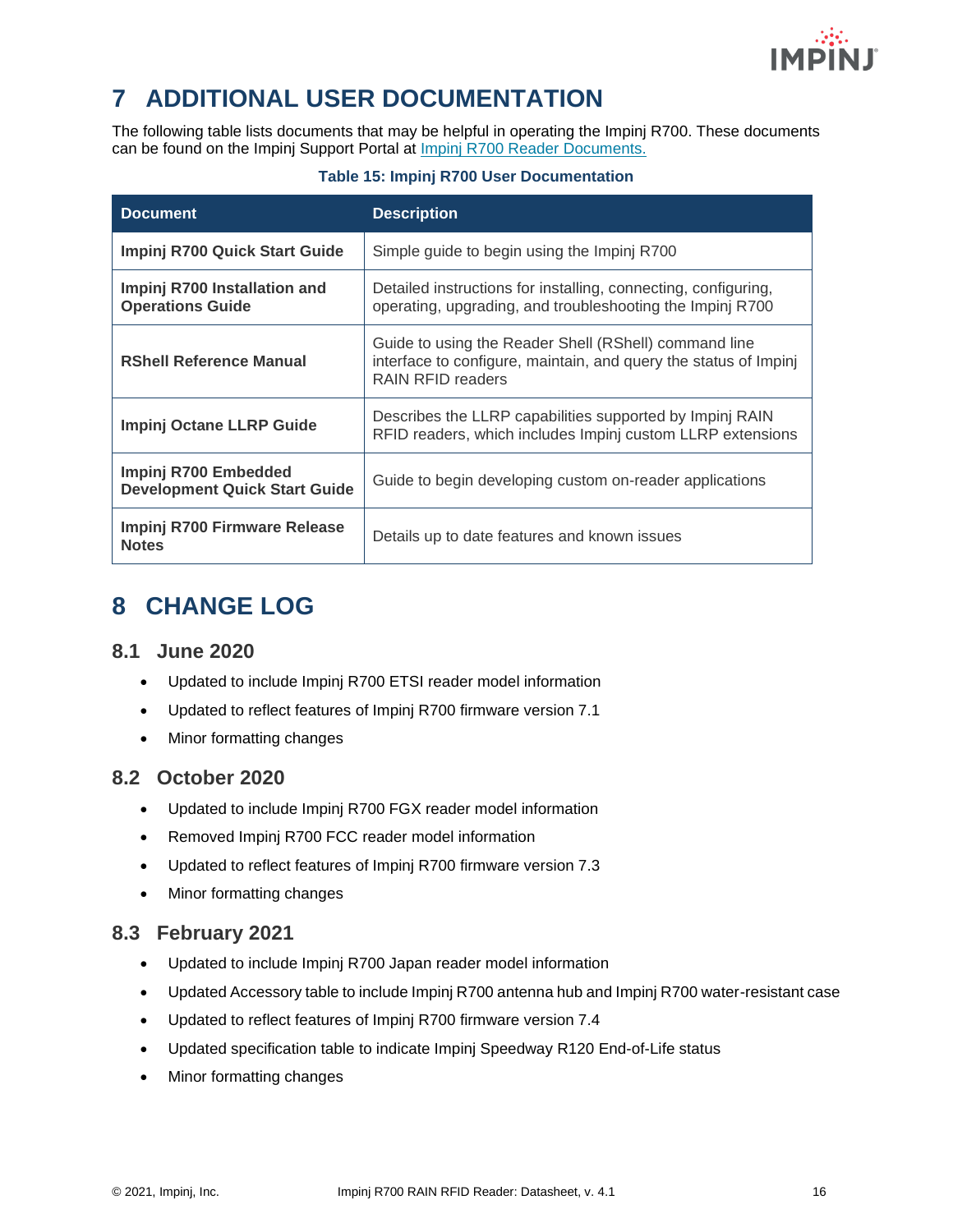

# <span id="page-16-0"></span>**7 ADDITIONAL USER DOCUMENTATION**

The following table lists documents that may be helpful in operating the Impinj R700. These documents can be found on the Impinj Support Portal at [Impinj R700 Reader Documents.](https://support.impinj.com/hc/en-us/articles/360011676720-Impinj-R700-Reader-Documents-Downloads)

#### **Table 15: Impinj R700 User Documentation**

| <b>Document</b>                                              | <b>Description</b>                                                                                                                             |
|--------------------------------------------------------------|------------------------------------------------------------------------------------------------------------------------------------------------|
| Impinj R700 Quick Start Guide                                | Simple guide to begin using the Impinj R700                                                                                                    |
| Impinj R700 Installation and<br><b>Operations Guide</b>      | Detailed instructions for installing, connecting, configuring,<br>operating, upgrading, and troubleshooting the Impinj R700                    |
| <b>RShell Reference Manual</b>                               | Guide to using the Reader Shell (RShell) command line<br>interface to configure, maintain, and query the status of Impinj<br>RAIN RFID readers |
| Impinj Octane LLRP Guide                                     | Describes the LLRP capabilities supported by Impinj RAIN<br>RFID readers, which includes Impinj custom LLRP extensions                         |
| Impinj R700 Embedded<br><b>Development Quick Start Guide</b> | Guide to begin developing custom on-reader applications                                                                                        |
| Impinj R700 Firmware Release<br><b>Notes</b>                 | Details up to date features and known issues                                                                                                   |

# <span id="page-16-1"></span>**8 CHANGE LOG**

#### <span id="page-16-2"></span>**8.1 June 2020**

- Updated to include Impinj R700 ETSI reader model information
- Updated to reflect features of Impinj R700 firmware version 7.1
- Minor formatting changes

#### <span id="page-16-3"></span>**8.2 October 2020**

- Updated to include Impinj R700 FGX reader model information
- Removed Impinj R700 FCC reader model information
- Updated to reflect features of Impinj R700 firmware version 7.3
- Minor formatting changes

#### <span id="page-16-4"></span>**8.3 February 2021**

- Updated to include Impinj R700 Japan reader model information
- Updated Accessory table to include Impinj R700 antenna hub and Impinj R700 water-resistant case
- Updated to reflect features of Impinj R700 firmware version 7.4
- Updated specification table to indicate Impinj Speedway R120 End-of-Life status
- Minor formatting changes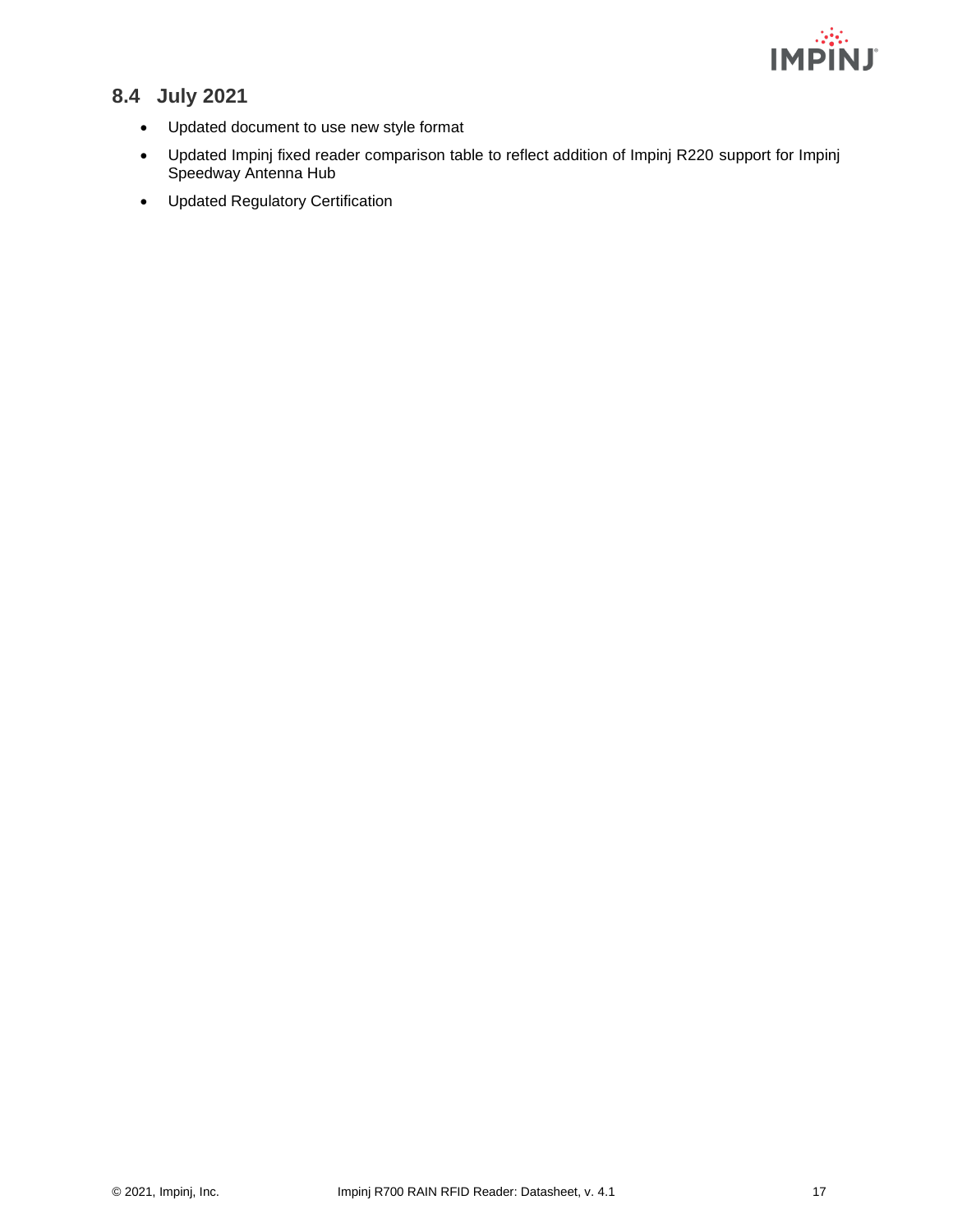

# <span id="page-17-0"></span>**8.4 July 2021**

- Updated document to use new style format
- Updated Impinj fixed reader comparison table to reflect addition of Impinj R220 support for Impinj Speedway Antenna Hub
- Updated Regulatory Certification